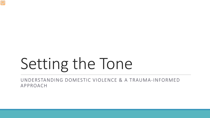## Setting the Tone

UNDERSTANDING DOMESTIC VIOLENCE & A TRAUMA-INFORMED APPROACH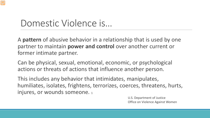#### Domestic Violence is…

A **pattern** of abusive behavior in a relationship that is used by one partner to maintain **power and control** over another current or former intimate partner.

Can be physical, sexual, emotional, economic, or psychological actions or threats of actions that influence another person.

This includes any behavior that intimidates, manipulates, humiliates, isolates, frightens, terrorizes, coerces, threatens, hurts, injures, or wounds someone. 1

> U.S. Department of Justice Office on Violence Against Women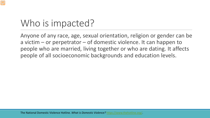#### Who is impacted?

Anyone of any race, age, sexual orientation, religion or gender can be a victim – or perpetrator – of domestic violence. It can happen to people who are married, living together or who are dating. It affects people of all socioeconomic backgrounds and education levels.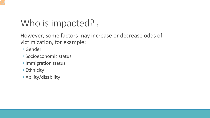#### Who is impacted?

However, some factors may increase or decrease odds of victimization, for example:

- Gender
- Socioeconomic status
- Immigration status
- Ethnicity
- Ability/disability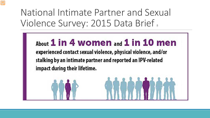National Intimate Partner and Sexual Violence Survey: 2015 Data Brief.

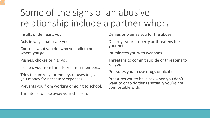#### Some of the signs of an abusive relationship include a partner who: 3

Insults or demeans you.

Acts in ways that scare you.

Controls what you do, who you talk to or where you go.

Pushes, chokes or hits you.

Isolates you from friends or family members.

Tries to control your money, refuses to give you money for necessary expenses.

Prevents you from working or going to school.

Threatens to take away your children.

Denies or blames you for the abuse.

Destroys your property or threatens to kill your pets.

Intimidates you with weapons.

Threatens to commit suicide or threatens to kill you.

Pressures you to use drugs or alcohol.

Pressures you to have sex when you don't want to or to do things sexually you're not comfortable with.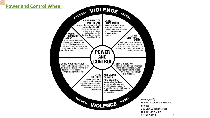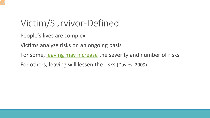#### Victim/Survivor-Defined

People's lives are complex

Victims analyze risks on an ongoing basis

For some, [leaving may increase](https://www.youtube.com/watch?v=IU50HksugZk) the severity and number of risks

For others, leaving will lessen the risks (Davies, 2009)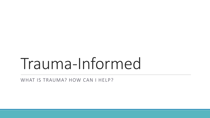### Trauma-Informed

WHAT IS TRAUMA? HOW CAN I HELP?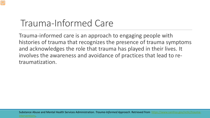#### Trauma-Informed Care

Trauma-informed care is an approach to engaging people with histories of trauma that recognizes the presence of trauma symptoms and acknowledges the role that trauma has played in their lives. It involves the awareness and avoidance of practices that lead to retraumatization.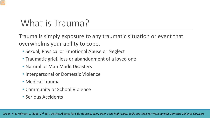#### What is Trauma?

Trauma is simply exposure to any traumatic situation or event that overwhelms your ability to cope.

- Sexual, Physical or Emotional Abuse or Neglect
- Traumatic grief, loss or abandonment of a loved one
- Natural or Man Made Disasters
- Interpersonal or Domestic Violence
- Medical Trauma
- Community or School Violence
- Serious Accidents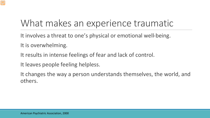#### What makes an experience traumatic

It involves a threat to one's physical or emotional well-being. It is overwhelming.

It results in intense feelings of fear and lack of control.

It leaves people feeling helpless.

It changes the way a person understands themselves, the world, and others.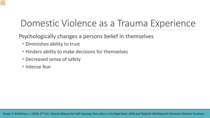#### Domestic Violence as a Trauma Experience

Psychologically changes a persons belief in themselves

- Diminishes ability to trust
- Hinders ability to make decisions for themselves
- Decreased sense of safety
- Intense fear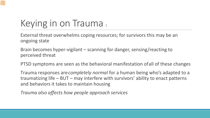#### Keying in on Trauma,

External threat overwhelms coping resources; for survivors this may be an ongoing state

Brain becomes hyper-vigilant – scanning for danger, sensing/reacting to perceived threat

PTSD symptoms are seen as the behavioral manifestation of all of these changes

Trauma responses are *completely normal* for a human being who's adapted to a traumatizing life – BUT – may interfere with survivors' ability to enact patterns and behaviors it takes to maintain housing

*Trauma also affects how people approach services*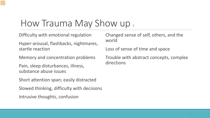#### How Trauma May Show up  $_5$

Difficulty with emotional regulation

Hyper-arousal, flashbacks, nightmares, startle reaction

Memory and concentration problems

Pain, sleep disturbances, illness, substance abuse issues

Short attention span; easily distracted

Slowed thinking, difficulty with decisions

Intrusive thoughts, confusion

Changed sense of self, others, and the world

Loss of sense of time and space

Trouble with abstract concepts, complex directions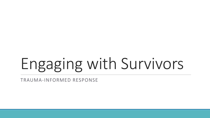# Engaging with Survivors

TRAUMA-INFORMED RESPONSE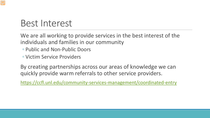#### Best Interest

We are all working to provide services in the best interest of the individuals and families in our community

- Public and Non-Public Doors
- Victim Service Providers

By creating partnerships across our areas of knowledge we can quickly provide warm referrals to other service providers.

<https://ccfl.unl.edu/community-services-management/coordinated-entry>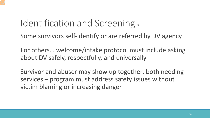#### Identification and Screening,

Some survivors self-identify or are referred by DV agency

For others… welcome/intake protocol must include asking about DV safely, respectfully, and universally

Survivor and abuser may show up together, both needing services – program must address safety issues without victim blaming or increasing danger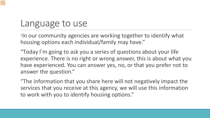#### Language to use

"In our community agencies are working together to identify what housing options each individual/family may have."

"Today I'm going to ask you a series of questions about your life experience. There is no right or wrong answer, this is about what you have experienced. You can answer yes, no, or that you prefer not to answer the question."

"The information that you share here will not negatively impact the services that you receive at this agency, we will use this information to work with you to identify housing options."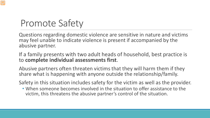#### Promote Safety

Questions regarding domestic violence are sensitive in nature and victims may feel unable to indicate violence is present if accompanied by the abusive partner.

#### If a family presents with two adult heads of household, best practice is to **complete individual assessments first**.

Abusive partners often threaten victims that they will harm them if they share what is happening with anyone outside the relationship/family.

Safety in this situation includes safety for the victim as well as the provider.

• When someone becomes involved in the situation to offer assistance to the victim, this threatens the abusive partner's control of the situation.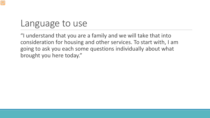#### Language to use

"I understand that you are a family and we will take that into consideration for housing and other services. To start with, I am going to ask you each some questions individually about what brought you here today."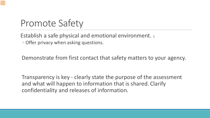#### Promote Safety

Establish a safe physical and emotional environment. 2 ◦ Offer privacy when asking questions.

Demonstrate from first contact that safety matters to your agency.

Transparency is key - clearly state the purpose of the assessment and what will happen to information that is shared. Clarify confidentiality and releases of information.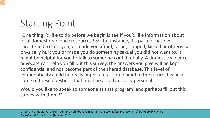#### Starting Point

"One thing I'd like to do before we begin is see if you'd like information about local domestic violence resources? So, for instance, if a partner has ever threatened to hurt you, or made you afraid, or hit, slapped, kicked or otherwise physically hurt you or made you do something sexual you did not want to, it might be helpful for you to talk to someone confidentially. A domestic violence advocate can help you fill out this survey, the answers you give will be kept confidential and not become part of the shared database. This level of confidentiality could be really important at some point in the future, because some of these questions that must be asked are very personal.

Would you like to speak to someone at that program, and perhaps fill out this survey with them?"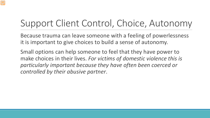#### Support Client Control, Choice, Autonomy

Because trauma can leave someone with a feeling of powerlessness it is important to give choices to build a sense of autonomy.

Small options can help someone to feel that they have power to make choices in their lives. *For victims of domestic violence this is particularly important because they have often been coerced or controlled by their abusive partner*.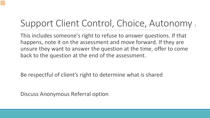#### Support Client Control, Choice, Autonomy,

This includes someone's right to refuse to answer questions. If that happens, note it on the assessment and move forward. If they are unsure they want to answer the question at the time, offer to come back to the question at the end of the assessment.

Be respectful of client's right to determine what is shared

Discuss Anonymous Referral option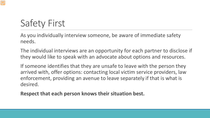### Safety First

As you individually interview someone, be aware of immediate safety needs.

The individual interviews are an opportunity for each partner to disclose if they would like to speak with an advocate about options and resources.

If someone identifies that they are unsafe to leave with the person they arrived with, offer options: contacting local victim service providers, law enforcement, providing an avenue to leave separately if that is what is desired.

**Respect that each person knows their situation best.**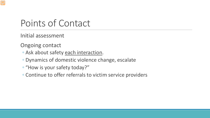#### Points of Contact

Initial assessment

Ongoing contact

- Ask about safety each interaction.
- Dynamics of domestic violence change, escalate
- "How is your safety today?"
- Continue to offer referrals to victim service providers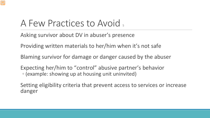#### A Few Practices to Avoid,

Asking survivor about DV in abuser's presence

Providing written materials to her/him when it's not safe

Blaming survivor for damage or danger caused by the abuser

Expecting her/him to "control" abusive partner's behavior ◦ (example: showing up at housing unit uninvited)

Setting eligibility criteria that prevent access to services or increase danger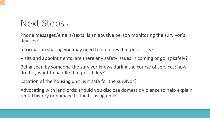#### Next Steps 6

Phone messages/emails/texts: is an abusive person monitoring the survivor's devices?

Information sharing you may need to do: does that pose risks?

Visits and appointments: are there any safety issues in coming or going safely?

Being seen by someone the survivor knows during the course of services: how do they want to handle that possibility?

Location of the housing unit: is it safe for the survivor?

Advocating with landlords: should you disclose domestic violence to help explain rental history or damage to the housing unit?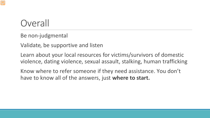#### **Overall**

Be non-judgmental

Validate, be supportive and listen

Learn about your local resources for victims/survivors of domestic violence, dating violence, sexual assault, stalking, human trafficking

Know where to refer someone if they need assistance. You don't have to know all of the answers, just **where to start.**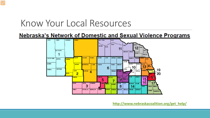#### Know Your Local Resources

Nebraska's Network of Domestic and Sexual Violence Programs



**[http://www.nebraskacoalition.org/get\\_help/](http://www.nebraskacoalition.org/get_help/)**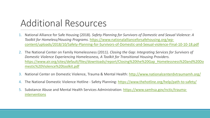#### Additional Resources

- 1. National Alliance for Safe Housing (2018). *Safety Planning for Survivors of Domestic and Sexual Violence: A Toolkit for Homeless/Housing Programs.* https://www.nationalallianceforsafehousing.org/wp[content/uploads/2018/10/Safety-Planning-for-Survivors-of-Domestic-and-Sexual-violence-Final-10-10-18.pdf](https://www.nationalallianceforsafehousing.org/wp-content/uploads/2018/10/Safety-Planning-for-Survivors-of-Domestic-and-Sexual-violence-Final-10-10-18.pdf)
- 2. The National Center on Family Homelessness (2011). *Closing the Gap: Integrating Services for Survivors of Domestic Violence Experiencing Homelessness, A Toolkit for Transitional Housing Providers.*  [https://www.air.org/sites/default/files/downloads/report/Closing%20the%20Gap\\_Homelessness%20and%20Do](https://www.air.org/sites/default/files/downloads/report/Closing%20the%20Gap_Homelessness%20and%20Domestic%20Violence%20toolkit.pdf) mestic%20Violence%20toolkit.pdf
- 3. National Center on Domestic Violence, Trauma & Mental Health: <http://www.nationalcenterdvtraumamh.org/>
- 4. The National Domestic Violence Hotline Safety Planning: <https://www.thehotline.org/help/path-to-safety/>
- 5. [Substance Abuse and Mental Health Services Administration: https://www.samhsa.gov/nctic/trauma](https://www.samhsa.gov/nctic/trauma-interventions)interventions